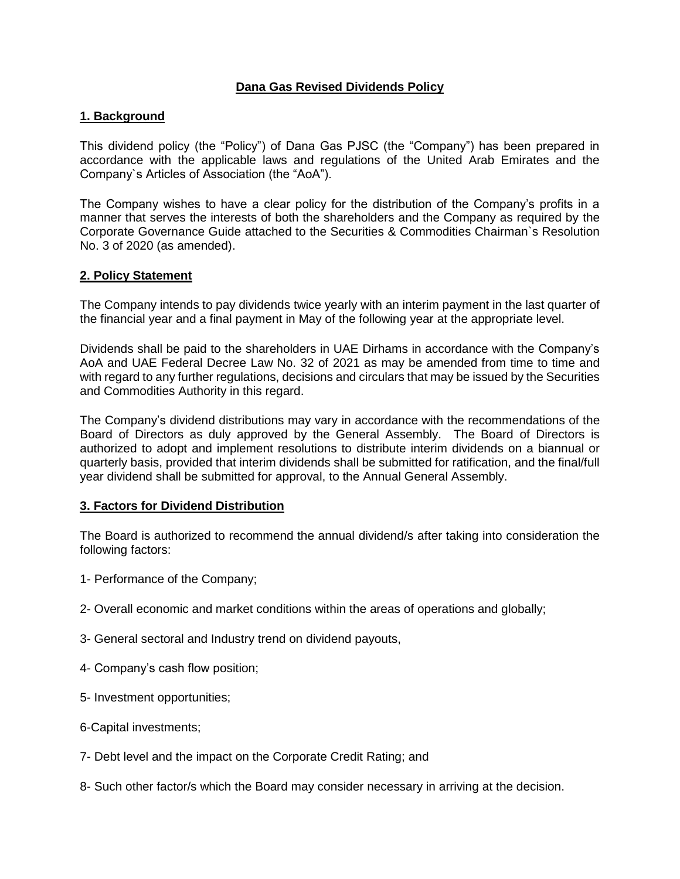# **Dana Gas Revised Dividends Policy**

## **1. Background**

This dividend policy (the "Policy") of Dana Gas PJSC (the "Company") has been prepared in accordance with the applicable laws and regulations of the United Arab Emirates and the Company`s Articles of Association (the "AoA").

The Company wishes to have a clear policy for the distribution of the Company's profits in a manner that serves the interests of both the shareholders and the Company as required by the Corporate Governance Guide attached to the Securities & Commodities Chairman`s Resolution No. 3 of 2020 (as amended).

#### **2. Policy Statement**

The Company intends to pay dividends twice yearly with an interim payment in the last quarter of the financial year and a final payment in May of the following year at the appropriate level.

Dividends shall be paid to the shareholders in UAE Dirhams in accordance with the Company's AoA and UAE Federal Decree Law No. 32 of 2021 as may be amended from time to time and with regard to any further regulations, decisions and circulars that may be issued by the Securities and Commodities Authority in this regard.

The Company's dividend distributions may vary in accordance with the recommendations of the Board of Directors as duly approved by the General Assembly. The Board of Directors is authorized to adopt and implement resolutions to distribute interim dividends on a biannual or quarterly basis, provided that interim dividends shall be submitted for ratification, and the final/full year dividend shall be submitted for approval, to the Annual General Assembly.

## **3. Factors for Dividend Distribution**

The Board is authorized to recommend the annual dividend/s after taking into consideration the following factors:

- 1- Performance of the Company;
- 2- Overall economic and market conditions within the areas of operations and globally;
- 3- General sectoral and Industry trend on dividend payouts,
- 4- Company's cash flow position;
- 5- Investment opportunities;
- 6-Capital investments;
- 7- Debt level and the impact on the Corporate Credit Rating; and
- 8- Such other factor/s which the Board may consider necessary in arriving at the decision.